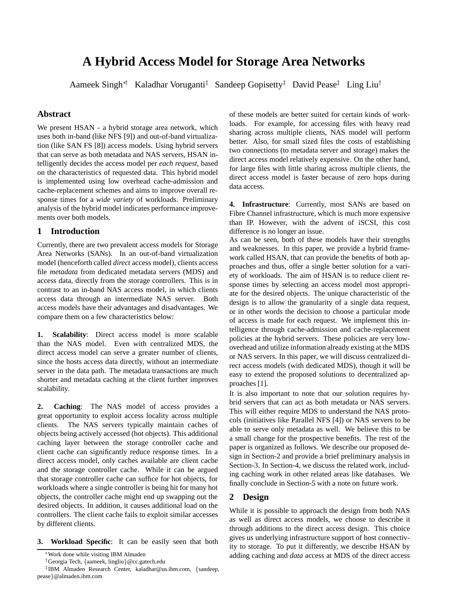# **A Hybrid Access Model for Storage Area Networks**

Aameek Singh∗† Kaladhar Voruganti‡ Sandeep Gopisetty‡ David Pease‡ Ling Liu†

## **Abstract**

We present HSAN - a hybrid storage area network, which uses both in-band (like NFS [9]) and out-of-band virtualization (like SAN FS [8]) access models. Using hybrid servers that can serve as both metadata and NAS servers, HSAN intelligently decides the access model per *each request*, based on the characteristics of requested data. This hybrid model is implemented using low overhead cache-admission and cache-replacement schemes and aims to improve overall response times for a *wide variety* of workloads. Preliminary analysis of the hybrid model indicates performance improvements over both models.

# **1 Introduction**

Currently, there are two prevalent access models for Storage Area Networks (SANs). In an out-of-band virtualization model (henceforth called *direct* access model), clients access file *metadata* from dedicated metadata servers (MDS) and access data, directly from the storage controllers. This is in contrast to an in-band NAS access model, in which clients access data through an intermediate NAS server. Both access models have their advantages and disadvantages. We compare them on a few characteristics below:

**1. Scalability**: Direct access model is more scalable than the NAS model. Even with centralized MDS, the direct access model can serve a greater number of clients, since the hosts access data directly, without an intermediate server in the data path. The metadata transactions are much shorter and metadata caching at the client further improves scalability.

**2. Caching**: The NAS model of access provides a great opportunity to exploit access locality across multiple clients. The NAS servers typically maintain caches of objects being actively accessed (hot objects). This additional caching layer between the storage controller cache and client cache can significantly reduce response times. In a direct access model, only caches available are client cache and the storage controller cache. While it can be argued that storage controller cache can suffice for hot objects, for workloads where a single controller is being hit for many hot objects, the controller cache might end up swapping out the desired objects. In addition, it causes additional load on the controllers. The client cache fails to exploit similar accesses by different clients.

**3. Workload Specific**: It can be easily seen that both

of these models are better suited for certain kinds of workloads. For example, for accessing files with heavy read sharing across multiple clients, NAS model will perform better. Also, for small sized files the costs of establishing two connections (to metadata server and storage) makes the direct access model relatively expensive. On the other hand, for large files with little sharing across multiple clients, the direct access model is faster because of zero hops during data access.

**4. Infrastructure**: Currently, most SANs are based on Fibre Channel infrastructure, which is much more expensive than IP. However, with the advent of iSCSI, this cost difference is no longer an issue.

As can be seen, both of these models have their strengths and weaknesses. In this paper, we provide a hybrid framework called HSAN, that can provide the benefits of both approaches and thus, offer a single better solution for a variety of workloads. The aim of HSAN is to reduce client response times by selecting an access model most appropriate for the desired objects. The unique characteristic of the design is to allow the granularity of a single data request, or in other words the decision to choose a particular mode of access is made for each request. We implement this intelligence through cache-admission and cache-replacement policies at the hybrid servers. These policies are very lowoverhead and utilize information already existing at the MDS or NAS servers. In this paper, we will discuss centralized direct access models (with dedicated MDS), though it will be easy to extend the proposed solutions to decentralized approaches [1].

It is also important to note that our solution requires hybrid servers that can act as both metadata or NAS servers. This will either require MDS to understand the NAS protocols (initiatives like Parallel NFS [4]) or NAS servers to be able to serve only metadata as well. We believe this to be a small change for the prospective benefits. The rest of the paper is organized as follows. We describe our proposed design in Section-2 and provide a brief preliminary analysis in Section-3. In Section-4, we discuss the related work, including caching work in other related areas like databases. We finally conclude in Section-5 with a note on future work.

# **2 Design**

While it is possible to approach the design from both NAS as well as direct access models, we choose to describe it through additions to the direct access design. This choice gives us underlying infrastructure support of host connectivity to storage. To put it differently, we describe HSAN by adding caching and *data* access at MDS of the direct access

<sup>∗</sup>Work done while visiting IBM Almaden

<sup>†</sup>Georgia Tech, {aameek, lingliu}@cc.gatech.edu

<sup>‡</sup>IBM Almaden Research Center, kaladhar@us.ibm.com, {sandeep, pease}@almaden.ibm.com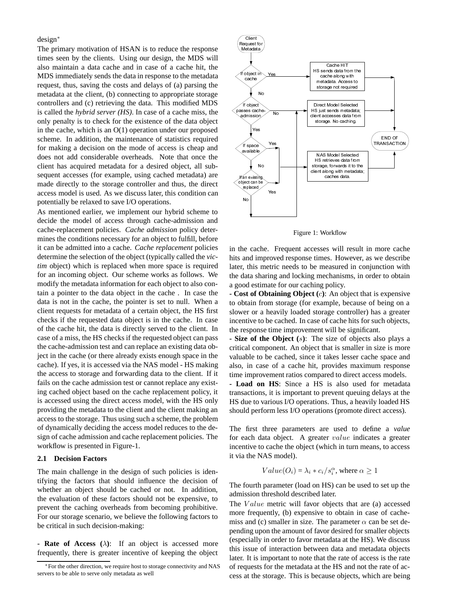design<sup>∗</sup>

The primary motivation of HSAN is to reduce the response times seen by the clients. Using our design, the MDS will also maintain a data cache and in case of a cache hit, the MDS immediately sends the data in response to the metadata request, thus, saving the costs and delays of (a) parsing the metadata at the client, (b) connecting to appropriate storage controllers and (c) retrieving the data. This modified MDS is called the *hybrid server (HS)*. In case of a cache miss, the only penalty is to check for the existence of the data object in the cache, which is an  $O(1)$  operation under our proposed scheme. In addition, the maintenance of statistics required for making a decision on the mode of access is cheap and does not add considerable overheads. Note that once the client has acquired metadata for a desired object, all subsequent accesses (for example, using cached metadata) are made directly to the storage controller and thus, the direct access model is used. As we discuss later, this condition can potentially be relaxed to save I/O operations.

As mentioned earlier, we implement our hybrid scheme to decide the model of access through cache-admission and cache-replacement policies. *Cache admission* policy determines the conditions necessary for an object to fulfill, before it can be admitted into a cache. *Cache replacement* policies determine the selection of the object (typically called the *victim* object) which is replaced when more space is required for an incoming object. Our scheme works as follows. We modify the metadata information for each object to also contain a pointer to the data object in the cache . In case the data is not in the cache, the pointer is set to null. When a client requests for metadata of a certain object, the HS first checks if the requested data object is in the cache. In case of the cache hit, the data is directly served to the client. In case of a miss, the HS checks if the requested object can pass the cache-admission test and can replace an existing data object in the cache (or there already exists enough space in the cache). If yes, it is accessed via the NAS model - HS making the access to storage and forwarding data to the client. If it fails on the cache admission test or cannot replace any existing cached object based on the cache replacement policy, it is accessed using the direct access model, with the HS only providing the metadata to the client and the client making an access to the storage. Thus using such a scheme, the problem of dynamically deciding the access model reduces to the design of cache admission and cache replacement policies. The workflow is presented in Figure-1.

### **2.1 Decision Factors**

The main challenge in the design of such policies is identifying the factors that should influence the decision of whether an object should be cached or not. In addition, the evaluation of these factors should not be expensive, to prevent the caching overheads from becoming prohibitive. For our storage scenario, we believe the following factors to be critical in such decision-making:

**- Rate of Access (**λ**)**: If an object is accessed more frequently, there is greater incentive of keeping the object



Figure 1: Workflow

in the cache. Frequent accesses will result in more cache hits and improved response times. However, as we describe later, this metric needs to be measured in conjunction with the data sharing and locking mechanisms, in order to obtain a good estimate for our caching policy.

**- Cost of Obtaining Object (**c**)**: An object that is expensive to obtain from storage (for example, because of being on a slower or a heavily loaded storage controller) has a greater incentive to be cached. In case of cache hits for such objects, the response time improvement will be significant.

**- Size of the Object (**s**)**: The size of objects also plays a critical component. An object that is smaller in size is more valuable to be cached, since it takes lesser cache space and also, in case of a cache hit, provides maximum response time improvement ratios compared to direct access models.

**- Load on HS**: Since a HS is also used for metadata transactions, it is important to prevent queuing delays at the HS due to various I/O operations. Thus, a heavily loaded HS should perform less I/O operations (promote direct access).

The first three parameters are used to define a *value* for each data object. A greater value indicates a greater incentive to cache the object (which in turn means, to access it via the NAS model).

$$
Value(O_i) = \lambda_i * c_i / s_i^{\alpha}, \text{ where } \alpha \ge 1
$$

The fourth parameter (load on HS) can be used to set up the admission threshold described later.

bet can be existed as a set of the cach is and improved as a set of the cach is and improved as a set of **O** bet can be explaced by  $\frac{1}{2}$  and  $\frac{1}{2}$  and  $\frac{1}{2}$  or  $\frac{1}{2}$  and  $\frac{1}{2}$  can be explored in  $\frac{1}{$ The caches and implied the caches and implied a shade in this metallical conduction of a can be direct conducted in the calculation of the can be direct can be direct can be direct can be direct can be direct can be direc replaced The  $Value$  metric will favor objects that are (a) accessed more frequently, (b) expensive to obtain in case of cachemiss and (c) smaller in size. The parameter  $\alpha$  can be set depending upon the amount of favor desired for smaller objects (especially in order to favor metadata at the HS). We discuss this issue of interaction between data and metadata objects later. It is important to note that the rate of access is the rate of requests for the metadata at the HS and not the rate of access at the storage. This is because objects, which are being

<sup>∗</sup>For the other direction, we require host to storage connectivity and NAS servers to be able to serve only metadata as well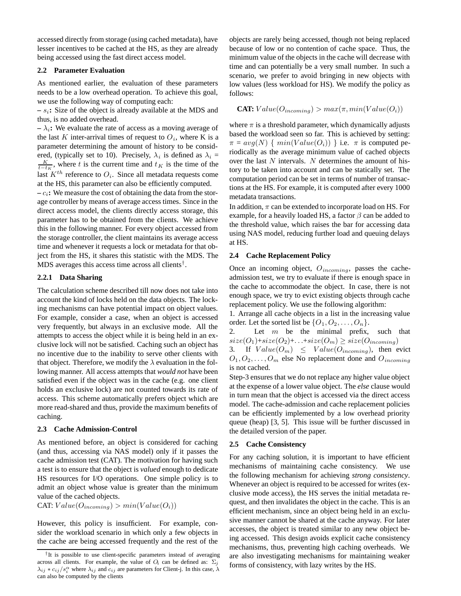accessed directly from storage (using cached metadata), have lesser incentives to be cached at the HS, as they are already being accessed using the fast direct access model.

#### **2.2 Parameter Evaluation**

As mentioned earlier, the evaluation of these parameters needs to be a low overhead operation. To achieve this goal, we use the following way of computing each:

 $- s_i$ : Size of the object is already available at the MDS and thus, is no added overhead.

 $-\lambda_i$ : We evaluate the rate of access as a moving average of the last K inter-arrival times of request to  $O_i$ , where K is a parameter determining the amount of history to be considered, (typically set to 10). Precisely,  $\lambda_i$  is defined as  $\lambda_i = \frac{K}{t-\kappa}$ , where t is the current time and  $t_K$  is the time of the last  $Kth$  aforease to  $\Omega$ . Since all matedate nequasts some last  $K^{th}$  reference to  $O_i$ . Since all metadata requests come at the HS, this parameter can also be efficiently computed.

 $-c_i$ : We measure the cost of obtaining the data from the storage controller by means of average access times. Since in the direct access model, the clients directly access storage, this parameter has to be obtained from the clients. We achieve this in the following manner. For every object accessed from the storage controller, the client maintains its average access time and whenever it requests a lock or metadata for that object from the HS, it shares this statistic with the MDS. The MDS averages this access time across all clients<sup> $\dagger$ </sup>.

#### **2.2.1 Data Sharing**

The calculation scheme described till now does not take into account the kind of locks held on the data objects. The locking mechanisms can have potential impact on object values. For example, consider a case, when an object is accessed very frequently, but always in an exclusive mode. All the attempts to access the object while it is being held in an exclusive lock will not be satisfied. Caching such an object has no incentive due to the inability to serve other clients with that object. Therefore, we modify the  $\lambda$  evaluation in the following manner. All access attempts that *would not* have been satisfied even if the object was in the cache (e.g. one client holds an exclusive lock) are not counted towards its rate of access. This scheme automatically prefers object which are more read-shared and thus, provide the maximum benefits of caching.

#### **2.3 Cache Admission-Control**

As mentioned before, an object is considered for caching (and thus, accessing via NAS model) only if it passes the cache admission test (CAT). The motivation for having such a test is to ensure that the object is *valued* enough to dedicate HS resources for I/O operations. One simple policy is to admit an object whose value is greater than the minimum value of the cached objects.

CAT:  $Value(O_{incoming}) > min(Value(O_i))$ 

However, this policy is insufficient. For example, consider the workload scenario in which only a few objects in the cache are being accessed frequently and the rest of the objects are rarely being accessed, though not being replaced because of low or no contention of cache space. Thus, the minimum value of the objects in the cache will decrease with time and can potentially be a very small number. In such a scenario, we prefer to avoid bringing in new objects with low values (less workload for HS). We modify the policy as follows:

**CAT:** Value(
$$
O_{incoming}
$$
) > max( $\pi$ , min(Value( $O_i$ ))

where  $\pi$  is a threshold parameter, which dynamically adjusts based the workload seen so far. This is achieved by setting:  $\pi = avg(N) \{ min(Value(O_i)) \}$  i.e.  $\pi$  is computed periodically as the average minimum value of cached objects over the last  $N$  intervals.  $N$  determines the amount of history to be taken into account and can be statically set. The computation period can be set in terms of number of transactions at the HS. For example, it is computed after every 1000 metadata transactions.

In addition,  $\pi$  can be extended to incorporate load on HS. For example, for a heavily loaded HS, a factor  $\beta$  can be added to the threshold value, which raises the bar for accessing data using NAS model, reducing further load and queuing delays at HS.

#### **2.4 Cache Replacement Policy**

Once an incoming object,  $O_{incoming}$ , passes the cacheadmission test, we try to evaluate if there is enough space in the cache to accommodate the object. In case, there is not enough space, we try to evict existing objects through cache replacement policy. We use the following algorithm:

1. Arrange all cache objects in a list in the increasing value order. Let the sorted list be  $\{O_1, O_2, \ldots, O_n\}$ .<br>2. Let *m* be the minimal prefix,

2. Let m be the minimal prefix, such that  $e^{i\gamma e(O_1) + \varsigma i\gamma e(O_2) + \cdots + \varsigma i\gamma e(O_n)} > \varsigma i\gamma e(O_2)$  $size(O_1) + size(O_2) + \ldots + size(O_m) \geq size(O_{incoming})$ <br>3 If  $Value(O_1) \leq Value(O_2) + \ldots + size(O_m)$  then e

3. If  $Value(O_m) \le Value(O_{incoming})$ , then evict  $O_1, O_2, \ldots, O_m$  else No replacement done and  $O_{incoming}$ is not cached.

Step-3 ensures that we do not replace any higher value object at the expense of a lower value object. The *else* clause would in turn mean that the object is accessed via the direct access model. The cache-admission and cache replacement policies can be efficiently implemented by a low overhead priority queue (heap) [3, 5]. This issue will be further discussed in the detailed version of the paper.

#### **2.5 Cache Consistency**

For any caching solution, it is important to have efficient mechanisms of maintaining cache consistency. We use the following mechanism for achieving *strong consistency*. Whenever an object is required to be accessed for writes (exclusive mode access), the HS serves the initial metadata request, and then invalidates the object in the cache. This is an efficient mechanism, since an object being held in an exclusive manner cannot be shared at the cache anyway. For later accesses, the object is treated similar to any new object being accessed. This design avoids explicit cache consistency mechanisms, thus, preventing high caching overheads. We are also investigating mechanisms for maintaining weaker forms of consistency, with lazy writes by the HS.

<sup>†</sup>It is possible to use client-specific parameters instead of averaging across all clients. For example, the value of  $O_i$  can be defined as:  $\Sigma_i$  $\lambda_{ij} * c_{ij}/s_i^{\alpha}$  where  $\lambda_{ij}$  and  $c_{ij}$  are parameters for Client-j. In this case,  $\lambda$  can also be computed by the clients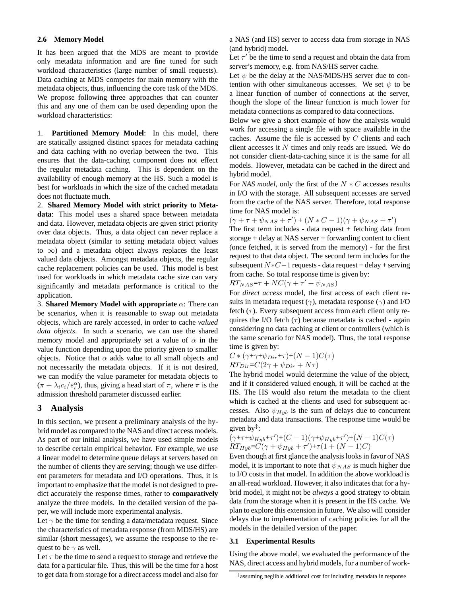#### **2.6 Memory Model**

It has been argued that the MDS are meant to provide only metadata information and are fine tuned for such workload characteristics (large number of small requests). Data caching at MDS competes for main memory with the metadata objects, thus, influencing the core task of the MDS. We propose following three approaches that can counter this and any one of them can be used depending upon the workload characteristics:

1. **Partitioned Memory Model**: In this model, there are statically assigned distinct spaces for metadata caching and data caching with no overlap between the two. This ensures that the data-caching component does not effect the regular metadata caching. This is dependent on the availability of enough memory at the HS. Such a model is best for workloads in which the size of the cached metadata does not fluctuate much.

2. **Shared Memory Model with strict priority to Metadata**: This model uses a shared space between metadata and data. However, metadata objects are given strict priority over data objects. Thus, a data object can never replace a metadata object (similar to setting metadata object values to ∞) and a metadata object always replaces the least valued data objects. Amongst metadata objects, the regular cache replacement policies can be used. This model is best used for workloads in which metadata cache size can vary significantly and metadata performance is critical to the application.

3. **Shared Memory Model with appropriate** α: There can be scenarios, when it is reasonable to swap out metadata objects, which are rarely accessed, in order to cache *valued data objects*. In such a scenario, we can use the shared memory model and appropriately set a value of  $\alpha$  in the value function depending upon the priority given to smaller objects. Notice that  $\alpha$  adds value to all small objects and not necessarily the metadata objects. If it is not desired, we can modify the value parameter for metadata objects to  $(\pi + \lambda_i c_i / s_i^{\alpha})$ , thus, giving a head start of  $\pi$ , where  $\pi$  is the admission threshold parameter discussed earlier admission threshold parameter discussed earlier.

# **3 Analysis**

In this section, we present a preliminary analysis of the hybrid model as compared to the NAS and direct access models. As part of our initial analysis, we have used simple models to describe certain empirical behavior. For example, we use a linear model to determine queue delays at servers based on the number of clients they are serving; though we use different parameters for metadata and I/O operations. Thus, it is important to emphasize that the model is not designed to predict accurately the response times, rather to **comparatively** analyze the three models. In the detailed version of the paper, we will include more experimental analysis.

Let  $\gamma$  be the time for sending a data/metadata request. Since the characteristics of metadata response (from MDS/HS) are similar (short messages), we assume the response to the request to be  $\gamma$  as well.

Let  $\tau$  be the time to send a request to storage and retrieve the data for a particular file. Thus, this will be the time for a host to get data from storage for a direct access model and also for a NAS (and HS) server to access data from storage in NAS (and hybrid) model.

Let  $\tau'$  be the time to send a request and obtain the data from<br>server's memory e.g. from NAS/HS server cache server's memory, e.g. from NAS/HS server cache.

Let  $\psi$  be the delay at the NAS/MDS/HS server due to contention with other simultaneous accesses. We set  $\psi$  to be a linear function of number of connections at the server, though the slope of the linear function is much lower for metadata connections as compared to data connections.

Below we give a short example of how the analysis would work for accessing a single file with space available in the caches. Assume the file is accessed by C clients and each client accesses it  $N$  times and only reads are issued. We do not consider client-data-caching since it is the same for all models. However, metadata can be cached in the direct and hybrid model.

For *NAS model*, only the first of the N <sup>∗</sup> C accesses results in I/O with the storage. All subsequent accesses are served from the cache of the NAS server. Therefore, total response time for NAS model is:

 $(\gamma + \tau + \psi_{NAS} + \tau') + (N * C - 1)(\gamma + \psi_{NAS} + \tau')$ <br>The first term includes - data request + fetching data to

The first term includes - data request + fetching data from storage + delay at NAS server + forwarding content to client (once fetched, it is served from the memory) - for the first request to that data object. The second term includes for the subsequent  $N*C-1$  requests - data request + delay + serving from cache. So total response time is given by:

$$
RT_{NAS}=\tau + NC(\gamma + \tau' + \psi_{NAS})
$$

 $RT_{NAS} = \tau + NC(\gamma + \tau' + \psi_{NAS})$ <br>For *direct access* model, the first access of each client results in metadata request ( $\gamma$ ), metadata response ( $\gamma$ ) and I/O fetch  $(\tau)$ . Every subsequent access from each client only requires the I/O fetch  $(\tau)$  because metadata is cached - again considering no data caching at client or controllers (which is the same scenario for NAS model). Thus, the total response time is given by:

$$
C * (\gamma + \gamma + \psi_{Dir} + \tau) + (N - 1)C(\tau)
$$
  
RT<sub>Dir</sub>= $C(2\gamma + \psi_{Dir} + N\tau)$ 

 $RT_{Dir} = C(2\gamma + \psi_{Dir} + N\tau)$ <br>The hybrid model would determine the value of the object, and if it considered valued enough, it will be cached at the HS. The HS would also return the metadata to the client which is cached at the clients and used for subsequent accesses. Also  $\psi_{Hyb}$  is the sum of delays due to concurrent metadata and data transactions. The response time would be given by<sup> $\ddagger$ </sup>:

$$
(\gamma + \tau + \psi_{Hyb} + \tau') + (C - 1)(\gamma + \psi_{Hyb} + \tau') + (N - 1)C(\tau)
$$
  
RT<sub>Hub</sub>=C( $\gamma$  +  $\psi_{Hub}$  +  $\tau'$ )+ $\tau$ (1 + (N - 1)C)

 $RT_{Hyb} = C(\gamma + \psi_{Hyb} + \tau') + \tau (1 + (N - 1)C)$ <br>Even though at first glance the analysis looks in favor of NAS model, it is important to note that  $\psi_{NAS}$  is much higher due to I/O costs in that model. In addition the above workload is an all-read workload. However, it also indicates that for a hybrid model, it might not be *always* a good strategy to obtain data from the storage when it is present in the HS cache. We plan to explore this extension in future. We also will consider delays due to implementation of caching policies for all the models in the detailed version of the paper.

#### **3.1 Experimental Results**

Using the above model, we evaluated the performance of the NAS, direct access and hybrid models, for a number of work-

<sup>‡</sup>assuming neglible additional cost for including metadata in response